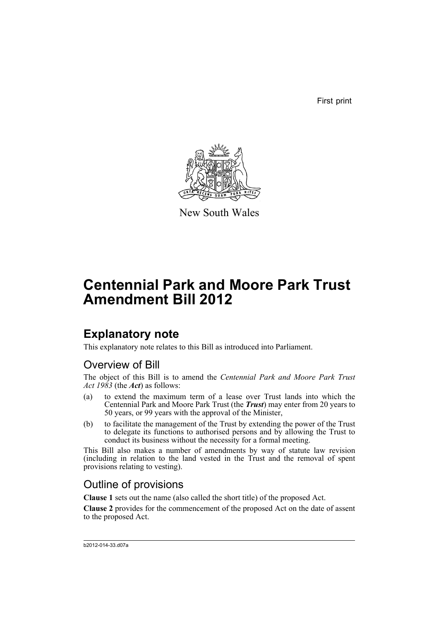First print



New South Wales

# **Centennial Park and Moore Park Trust Amendment Bill 2012**

# **Explanatory note**

This explanatory note relates to this Bill as introduced into Parliament.

## Overview of Bill

The object of this Bill is to amend the *Centennial Park and Moore Park Trust Act 1983* (the *Act*) as follows:

- (a) to extend the maximum term of a lease over Trust lands into which the Centennial Park and Moore Park Trust (the *Trust*) may enter from 20 years to 50 years, or 99 years with the approval of the Minister,
- (b) to facilitate the management of the Trust by extending the power of the Trust to delegate its functions to authorised persons and by allowing the Trust to conduct its business without the necessity for a formal meeting.

This Bill also makes a number of amendments by way of statute law revision (including in relation to the land vested in the Trust and the removal of spent provisions relating to vesting).

## Outline of provisions

**Clause 1** sets out the name (also called the short title) of the proposed Act.

**Clause 2** provides for the commencement of the proposed Act on the date of assent to the proposed Act.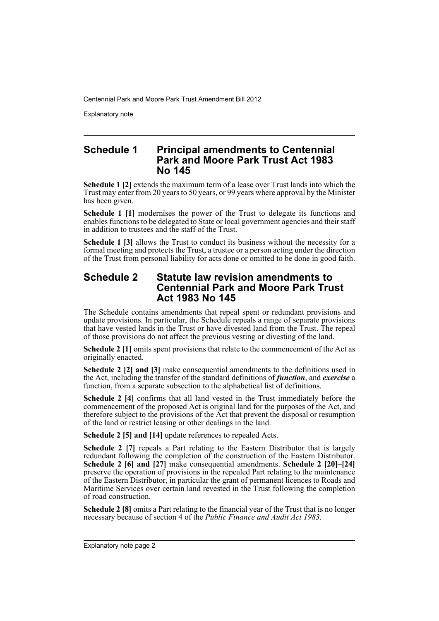Explanatory note

### **Schedule 1 Principal amendments to Centennial Park and Moore Park Trust Act 1983 No 145**

**Schedule 1 [2]** extends the maximum term of a lease over Trust lands into which the Trust may enter from 20 years to 50 years, or 99 years where approval by the Minister has been given.

**Schedule 1 [1]** modernises the power of the Trust to delegate its functions and enables functions to be delegated to State or local government agencies and their staff in addition to trustees and the staff of the Trust.

**Schedule 1 [3] allows the Trust to conduct its business without the necessity for a** formal meeting and protects the Trust, a trustee or a person acting under the direction of the Trust from personal liability for acts done or omitted to be done in good faith.

## **Schedule 2 Statute law revision amendments to Centennial Park and Moore Park Trust Act 1983 No 145**

The Schedule contains amendments that repeal spent or redundant provisions and update provisions. In particular, the Schedule repeals a range of separate provisions that have vested lands in the Trust or have divested land from the Trust. The repeal of those provisions do not affect the previous vesting or divesting of the land.

**Schedule 2** [1] omits spent provisions that relate to the commencement of the Act as originally enacted.

**Schedule 2 [2] and [3]** make consequential amendments to the definitions used in the Act, including the transfer of the standard definitions of *function*, and *exercise* a function, from a separate subsection to the alphabetical list of definitions.

**Schedule 2 [4]** confirms that all land vested in the Trust immediately before the commencement of the proposed Act is original land for the purposes of the Act, and therefore subject to the provisions of the Act that prevent the disposal or resumption of the land or restrict leasing or other dealings in the land.

**Schedule 2 [5] and [14]** update references to repealed Acts.

**Schedule 2 [7]** repeals a Part relating to the Eastern Distributor that is largely redundant following the completion of the construction of the Eastern Distributor. **Schedule 2 [6] and [27]** make consequential amendments. **Schedule 2 [20]–[24]** preserve the operation of provisions in the repealed Part relating to the maintenance of the Eastern Distributor, in particular the grant of permanent licences to Roads and Maritime Services over certain land revested in the Trust following the completion of road construction.

**Schedule 2 [8]** omits a Part relating to the financial year of the Trust that is no longer necessary because of section 4 of the *Public Finance and Audit Act 1983*.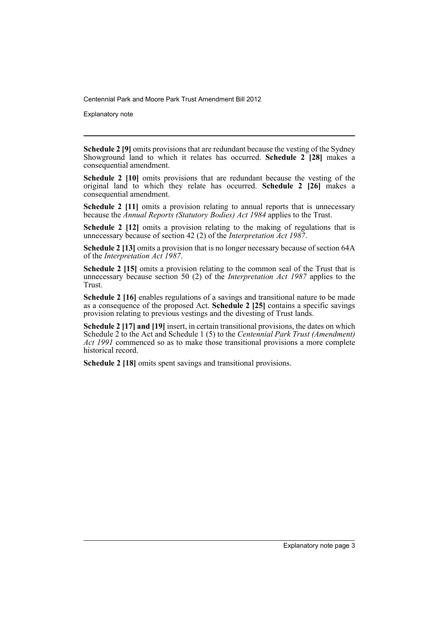Explanatory note

**Schedule 2 [9]** omits provisions that are redundant because the vesting of the Sydney Showground land to which it relates has occurred. **Schedule 2 [28]** makes a consequential amendment.

**Schedule 2 [10]** omits provisions that are redundant because the vesting of the original land to which they relate has occurred. **Schedule 2 [26]** makes a consequential amendment.

**Schedule 2** [11] omits a provision relating to annual reports that is unnecessary because the *Annual Reports (Statutory Bodies) Act 1984* applies to the Trust.

**Schedule 2 [12]** omits a provision relating to the making of regulations that is unnecessary because of section 42 (2) of the *Interpretation Act 1987*.

**Schedule 2 [13]** omits a provision that is no longer necessary because of section 64A of the *Interpretation Act 1987*.

**Schedule 2 [15]** omits a provision relating to the common seal of the Trust that is unnecessary because section 50 (2) of the *Interpretation Act 1987* applies to the Trust.

**Schedule 2 [16]** enables regulations of a savings and transitional nature to be made as a consequence of the proposed Act. **Schedule 2 [25]** contains a specific savings provision relating to previous vestings and the divesting of Trust lands.

**Schedule 2 [17] and [19]** insert, in certain transitional provisions, the dates on which Schedule 2 to the Act and Schedule 1 (5) to the *Centennial Park Trust (Amendment) Act 1991* commenced so as to make those transitional provisions a more complete historical record.

**Schedule 2 [18]** omits spent savings and transitional provisions.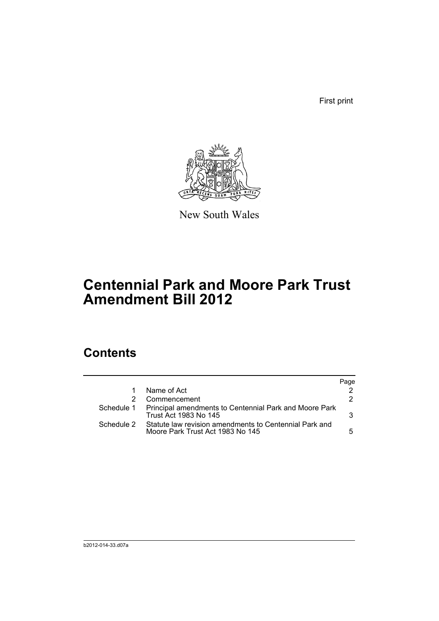First print



New South Wales

# **Centennial Park and Moore Park Trust Amendment Bill 2012**

## **Contents**

|            |                                                                                            | Page |
|------------|--------------------------------------------------------------------------------------------|------|
|            | Name of Act                                                                                |      |
|            | Commencement                                                                               | 2.   |
|            | Schedule 1 Principal amendments to Centennial Park and Moore Park<br>Trust Act 1983 No 145 | 3.   |
| Schedule 2 | Statute law revision amendments to Centennial Park and<br>Moore Park Trust Act 1983 No 145 | 5.   |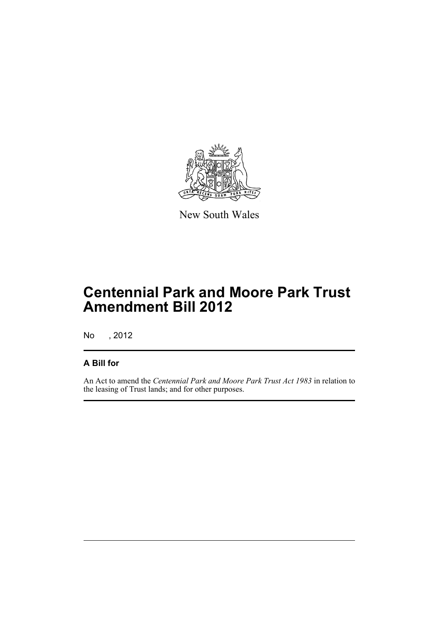

New South Wales

# **Centennial Park and Moore Park Trust Amendment Bill 2012**

No , 2012

## **A Bill for**

An Act to amend the *Centennial Park and Moore Park Trust Act 1983* in relation to the leasing of Trust lands; and for other purposes.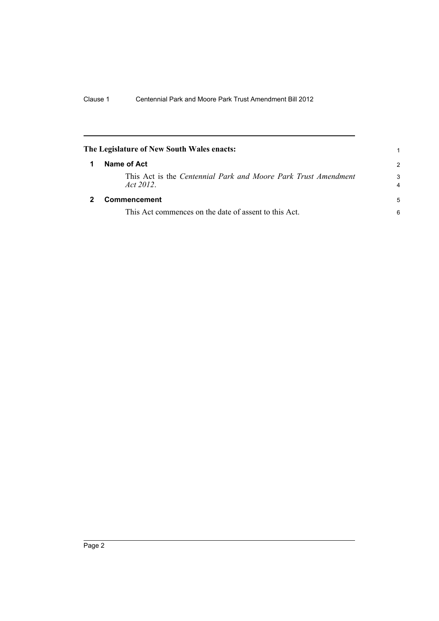<span id="page-7-1"></span><span id="page-7-0"></span>

| The Legislature of New South Wales enacts:                                 |               |
|----------------------------------------------------------------------------|---------------|
| Name of Act                                                                | $\mathcal{P}$ |
| This Act is the Centennial Park and Moore Park Trust Amendment<br>Act 2012 | 3<br>4        |
| Commencement                                                               | 5             |
| This Act commences on the date of assent to this Act.                      | 6             |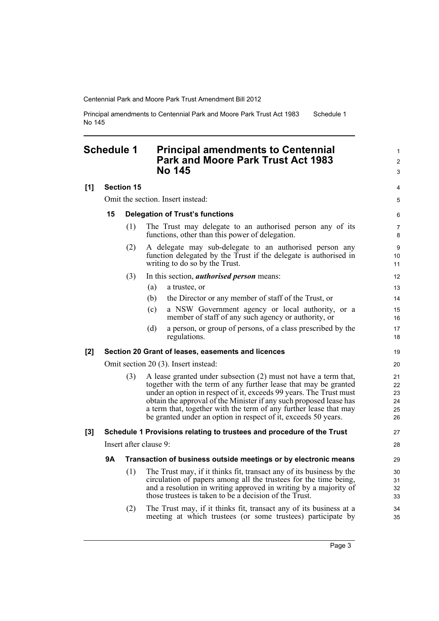Principal amendments to Centennial Park and Moore Park Trust Act 1983 No 145 Schedule 1

## <span id="page-8-0"></span>**Schedule 1 Principal amendments to Centennial Park and Moore Park Trust Act 1983 No 145**

### **[1] Section 15**

Omit the section. Insert instead:

#### **15 Delegation of Trust's functions**

- (1) The Trust may delegate to an authorised person any of its functions, other than this power of delegation.
- (2) A delegate may sub-delegate to an authorised person any function delegated by the Trust if the delegate is authorised in writing to do so by the Trust.
- (3) In this section, *authorised person* means:
	- (a) a trustee, or
	- (b) the Director or any member of staff of the Trust, or
	- (c) a NSW Government agency or local authority, or a member of staff of any such agency or authority, or
	- (d) a person, or group of persons, of a class prescribed by the regulations.

#### **[2] Section 20 Grant of leases, easements and licences**

Omit section 20 (3). Insert instead:

(3) A lease granted under subsection (2) must not have a term that, together with the term of any further lease that may be granted under an option in respect of it, exceeds 99 years. The Trust must obtain the approval of the Minister if any such proposed lease has a term that, together with the term of any further lease that may be granted under an option in respect of it, exceeds 50 years.

#### **[3] Schedule 1 Provisions relating to trustees and procedure of the Trust**

Insert after clause 9:

#### **9A Transaction of business outside meetings or by electronic means**

- (1) The Trust may, if it thinks fit, transact any of its business by the circulation of papers among all the trustees for the time being, and a resolution in writing approved in writing by a majority of those trustees is taken to be a decision of the Trust.
- (2) The Trust may, if it thinks fit, transact any of its business at a meeting at which trustees (or some trustees) participate by

1  $\mathfrak{p}$ 3

4 5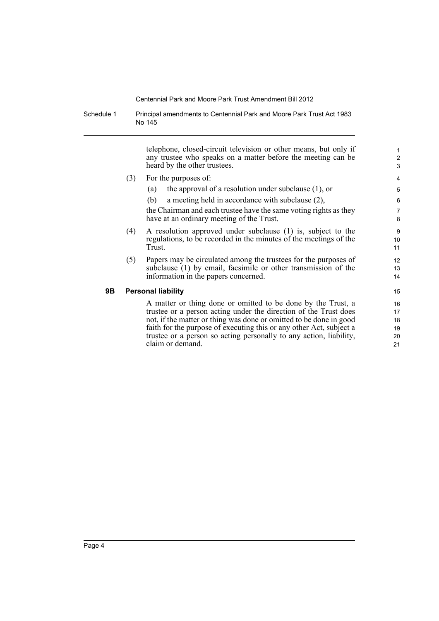Schedule 1 Principal amendments to Centennial Park and Moore Park Trust Act 1983 No 145

> telephone, closed-circuit television or other means, but only if any trustee who speaks on a matter before the meeting can be heard by the other trustees.

- (3) For the purposes of:
	- (a) the approval of a resolution under subclause (1), or
	- (b) a meeting held in accordance with subclause (2),

the Chairman and each trustee have the same voting rights as they have at an ordinary meeting of the Trust.

- (4) A resolution approved under subclause (1) is, subject to the regulations, to be recorded in the minutes of the meetings of the Trust.
- (5) Papers may be circulated among the trustees for the purposes of subclause (1) by email, facsimile or other transmission of the information in the papers concerned.

#### **9B Personal liability**

A matter or thing done or omitted to be done by the Trust, a trustee or a person acting under the direction of the Trust does not, if the matter or thing was done or omitted to be done in good faith for the purpose of executing this or any other Act, subject a trustee or a person so acting personally to any action, liability, claim or demand.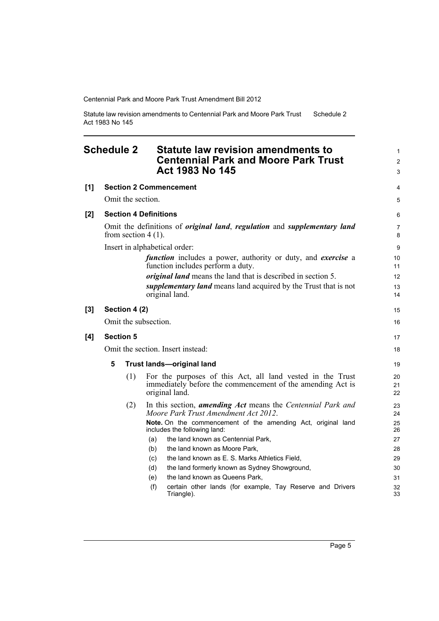Statute law revision amendments to Centennial Park and Moore Park Trust Act 1983 No 145 Schedule 2

### <span id="page-10-0"></span>**Schedule 2 Statute law revision amendments to Centennial Park and Moore Park Trust Act 1983 No 145**

|     |                  |                                                                                                                         |     | ACI 1983 NO 145                                                                                                                            | 3                   |
|-----|------------------|-------------------------------------------------------------------------------------------------------------------------|-----|--------------------------------------------------------------------------------------------------------------------------------------------|---------------------|
| [1] |                  |                                                                                                                         |     | <b>Section 2 Commencement</b>                                                                                                              | 4                   |
|     |                  | Omit the section.                                                                                                       |     |                                                                                                                                            |                     |
| [2] |                  | <b>Section 4 Definitions</b>                                                                                            |     |                                                                                                                                            | 6                   |
|     |                  | Omit the definitions of <i>original land</i> , <i>regulation</i> and <i>supplementary land</i><br>from section $4(1)$ . |     |                                                                                                                                            | $\overline{7}$<br>8 |
|     |                  | Insert in alphabetical order:                                                                                           |     |                                                                                                                                            | $\boldsymbol{9}$    |
|     |                  |                                                                                                                         |     | <i>function</i> includes a power, authority or duty, and <i>exercise</i> a<br>function includes perform a duty.                            | 10<br>11            |
|     |                  |                                                                                                                         |     | <i>original land</i> means the land that is described in section 5.                                                                        | 12                  |
|     |                  |                                                                                                                         |     | <i>supplementary land</i> means land acquired by the Trust that is not<br>original land.                                                   | 13<br>14            |
| [3] | Section 4 (2)    |                                                                                                                         |     | 15                                                                                                                                         |                     |
|     |                  | Omit the subsection.                                                                                                    |     |                                                                                                                                            | 16                  |
| [4] | <b>Section 5</b> |                                                                                                                         |     | 17                                                                                                                                         |                     |
|     |                  |                                                                                                                         |     | Omit the section. Insert instead:                                                                                                          | 18                  |
|     | 5                | <b>Trust lands-original land</b>                                                                                        |     |                                                                                                                                            | 19                  |
|     |                  | (1)                                                                                                                     |     | For the purposes of this Act, all land vested in the Trust<br>immediately before the commencement of the amending Act is<br>original land. | 20<br>21<br>22      |
|     |                  | (2)                                                                                                                     |     | In this section, <i>amending Act</i> means the <i>Centennial Park and</i><br>Moore Park Trust Amendment Act 2012.                          | 23<br>24            |
|     |                  |                                                                                                                         |     | Note. On the commencement of the amending Act, original land<br>includes the following land:                                               | 25<br>26            |
|     |                  |                                                                                                                         | (a) | the land known as Centennial Park,                                                                                                         | 27                  |
|     |                  |                                                                                                                         | (b) | the land known as Moore Park,                                                                                                              | 28                  |
|     |                  |                                                                                                                         | (c) | the land known as E. S. Marks Athletics Field,                                                                                             | 29                  |
|     |                  |                                                                                                                         | (d) | the land formerly known as Sydney Showground,                                                                                              | 30                  |
|     |                  |                                                                                                                         | (e) | the land known as Queens Park,                                                                                                             | 31                  |
|     |                  |                                                                                                                         | (f) | certain other lands (for example, Tay Reserve and Drivers<br>Triangle).                                                                    | 32<br>33            |

1 2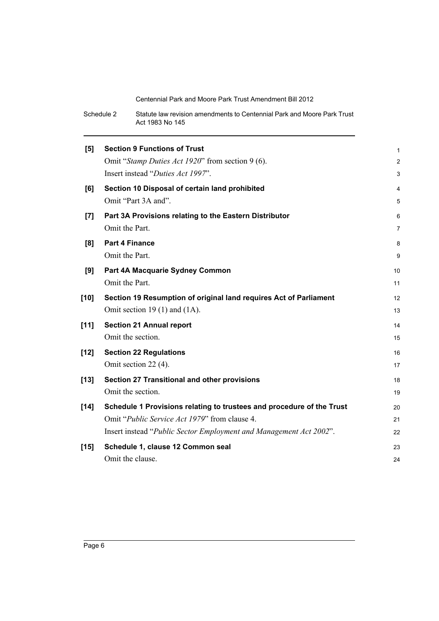| Schedule 2 | Statute law revision amendments to Centennial Park and Moore Park Trust |
|------------|-------------------------------------------------------------------------|
|            | Act 1983 No 145                                                         |

| [5]    | <b>Section 9 Functions of Trust</b>                                   | 1              |
|--------|-----------------------------------------------------------------------|----------------|
|        | Omit "Stamp Duties Act 1920" from section 9 (6).                      | $\overline{c}$ |
|        | Insert instead "Duties Act 1997".                                     | 3              |
| [6]    | Section 10 Disposal of certain land prohibited                        | 4              |
|        | Omit "Part 3A and".                                                   | 5              |
| [7]    | Part 3A Provisions relating to the Eastern Distributor                | 6              |
|        | Omit the Part.                                                        | 7              |
| [8]    | <b>Part 4 Finance</b>                                                 | 8              |
|        | Omit the Part.                                                        | 9              |
| [9]    | Part 4A Macquarie Sydney Common                                       | 10             |
|        | Omit the Part.                                                        | 11             |
| $[10]$ | Section 19 Resumption of original land requires Act of Parliament     | 12             |
|        | Omit section 19 $(1)$ and $(1A)$ .                                    | 13             |
| $[11]$ | <b>Section 21 Annual report</b>                                       | 14             |
|        | Omit the section.                                                     | 15             |
| $[12]$ | <b>Section 22 Regulations</b>                                         | 16             |
|        | Omit section 22 (4).                                                  | 17             |
| $[13]$ | Section 27 Transitional and other provisions                          | 18             |
|        | Omit the section.                                                     | 19             |
| $[14]$ | Schedule 1 Provisions relating to trustees and procedure of the Trust | 20             |
|        | Omit " <i>Public Service Act 1979</i> " from clause 4.                | 21             |
|        | Insert instead "Public Sector Employment and Management Act 2002".    | 22             |
| $[15]$ | Schedule 1, clause 12 Common seal                                     | 23             |
|        | Omit the clause.                                                      | 24             |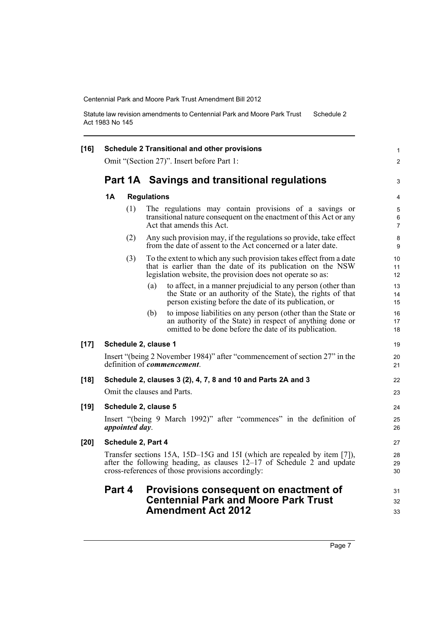Statute law revision amendments to Centennial Park and Moore Park Trust Act 1983 No 145 Schedule 2

| $[16]$ | <b>Schedule 2 Transitional and other provisions</b>                                                                                                                                                       |                                                                                                                                                                                                 |                          |  |  |
|--------|-----------------------------------------------------------------------------------------------------------------------------------------------------------------------------------------------------------|-------------------------------------------------------------------------------------------------------------------------------------------------------------------------------------------------|--------------------------|--|--|
|        | Omit "(Section 27)". Insert before Part 1:                                                                                                                                                                |                                                                                                                                                                                                 |                          |  |  |
|        |                                                                                                                                                                                                           | Part 1A Savings and transitional regulations                                                                                                                                                    | 3                        |  |  |
|        | 1Α                                                                                                                                                                                                        | <b>Regulations</b>                                                                                                                                                                              |                          |  |  |
|        | (1)                                                                                                                                                                                                       | The regulations may contain provisions of a savings or<br>transitional nature consequent on the enactment of this Act or any<br>Act that amends this Act.                                       | 5<br>6<br>$\overline{7}$ |  |  |
|        | (2)                                                                                                                                                                                                       | Any such provision may, if the regulations so provide, take effect<br>from the date of assent to the Act concerned or a later date.                                                             | 8<br>9                   |  |  |
|        | (3)                                                                                                                                                                                                       | To the extent to which any such provision takes effect from a date<br>that is earlier than the date of its publication on the NSW<br>legislation website, the provision does not operate so as: | 10<br>11<br>12           |  |  |
|        |                                                                                                                                                                                                           | to affect, in a manner prejudicial to any person (other than<br>(a)<br>the State or an authority of the State), the rights of that<br>person existing before the date of its publication, or    | 13<br>14<br>15           |  |  |
|        |                                                                                                                                                                                                           | (b)<br>to impose liabilities on any person (other than the State or<br>an authority of the State) in respect of anything done or<br>omitted to be done before the date of its publication.      | 16<br>17<br>18           |  |  |
| $[17]$ | Schedule 2, clause 1                                                                                                                                                                                      |                                                                                                                                                                                                 | 19                       |  |  |
|        | Insert "(being 2 November 1984)" after "commencement of section 27" in the<br>definition of <i>commencement</i> .                                                                                         |                                                                                                                                                                                                 |                          |  |  |
| $[18]$ | Schedule 2, clauses 3 (2), 4, 7, 8 and 10 and Parts 2A and 3                                                                                                                                              |                                                                                                                                                                                                 |                          |  |  |
|        | Omit the clauses and Parts.                                                                                                                                                                               |                                                                                                                                                                                                 |                          |  |  |
| $[19]$ | Schedule 2, clause 5                                                                                                                                                                                      |                                                                                                                                                                                                 |                          |  |  |
|        | appointed day.                                                                                                                                                                                            | Insert "(being 9 March 1992)" after "commences" in the definition of                                                                                                                            | 25<br>26                 |  |  |
| [20]   | Schedule 2, Part 4                                                                                                                                                                                        |                                                                                                                                                                                                 |                          |  |  |
|        | Transfer sections 15A, 15D-15G and 15I (which are repealed by item [7]),<br>after the following heading, as clauses $12-17$ of Schedule 2 and update<br>cross-references of those provisions accordingly: |                                                                                                                                                                                                 |                          |  |  |
|        | Part 4                                                                                                                                                                                                    | Provisions consequent on enactment of<br><b>Centennial Park and Moore Park Trust</b><br><b>Amendment Act 2012</b>                                                                               | 31<br>32<br>33           |  |  |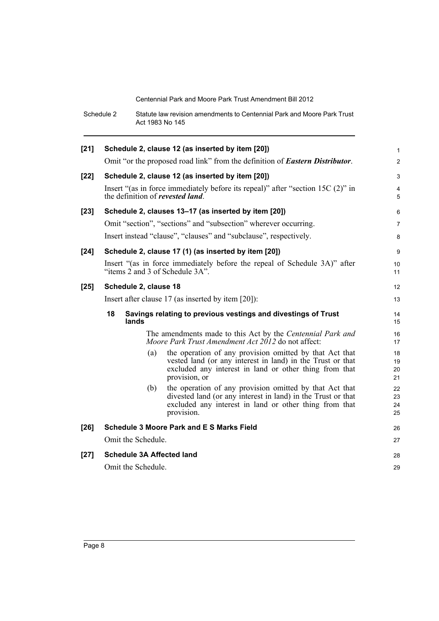|        | Schedule 2                                                                                                   | Act 1983 No 145    | Statute law revision amendments to Centennial Park and Moore Park Trust                                                                                                                          |                      |  |
|--------|--------------------------------------------------------------------------------------------------------------|--------------------|--------------------------------------------------------------------------------------------------------------------------------------------------------------------------------------------------|----------------------|--|
| $[21]$ | Schedule 2, clause 12 (as inserted by item [20])                                                             |                    |                                                                                                                                                                                                  |                      |  |
|        |                                                                                                              |                    | Omit "or the proposed road link" from the definition of <b>Eastern Distributor</b> .                                                                                                             | $\overline{2}$       |  |
| $[22]$ |                                                                                                              |                    | Schedule 2, clause 12 (as inserted by item [20])                                                                                                                                                 | 3                    |  |
|        |                                                                                                              |                    | Insert "(as in force immediately before its repeal)" after "section 15C (2)" in<br>the definition of <i>revested land</i> .                                                                      | $\overline{4}$<br>5  |  |
| $[23]$ |                                                                                                              |                    | Schedule 2, clauses 13-17 (as inserted by item [20])                                                                                                                                             | 6                    |  |
|        |                                                                                                              |                    | Omit "section", "sections" and "subsection" wherever occurring.                                                                                                                                  | $\overline{7}$       |  |
|        |                                                                                                              |                    | Insert instead "clause", "clauses" and "subclause", respectively.                                                                                                                                | 8                    |  |
| $[24]$ | Schedule 2, clause 17 (1) (as inserted by item [20])                                                         |                    |                                                                                                                                                                                                  |                      |  |
|        | Insert "(as in force immediately before the repeal of Schedule 3A)" after<br>"items 2 and 3 of Schedule 3A". |                    |                                                                                                                                                                                                  |                      |  |
| $[25]$ | Schedule 2, clause 18                                                                                        |                    |                                                                                                                                                                                                  |                      |  |
|        | Insert after clause $17$ (as inserted by item [20]):                                                         |                    |                                                                                                                                                                                                  |                      |  |
|        | 18<br>Savings relating to previous vestings and divestings of Trust<br>lands                                 |                    |                                                                                                                                                                                                  |                      |  |
|        |                                                                                                              |                    | The amendments made to this Act by the Centennial Park and<br>Moore Park Trust Amendment Act 2012 do not affect:                                                                                 | 16<br>17             |  |
|        |                                                                                                              | (a)                | the operation of any provision omitted by that Act that<br>vested land (or any interest in land) in the Trust or that<br>excluded any interest in land or other thing from that<br>provision, or | 18<br>19<br>20<br>21 |  |
|        |                                                                                                              | (b)                | the operation of any provision omitted by that Act that<br>divested land (or any interest in land) in the Trust or that<br>excluded any interest in land or other thing from that<br>provision.  | 22<br>23<br>24<br>25 |  |
| $[26]$ |                                                                                                              |                    | <b>Schedule 3 Moore Park and E S Marks Field</b>                                                                                                                                                 | 26                   |  |
|        | Omit the Schedule.                                                                                           |                    |                                                                                                                                                                                                  |                      |  |
| $[27]$ |                                                                                                              | Omit the Schedule. | <b>Schedule 3A Affected land</b>                                                                                                                                                                 | 28<br>29             |  |
|        |                                                                                                              |                    |                                                                                                                                                                                                  |                      |  |